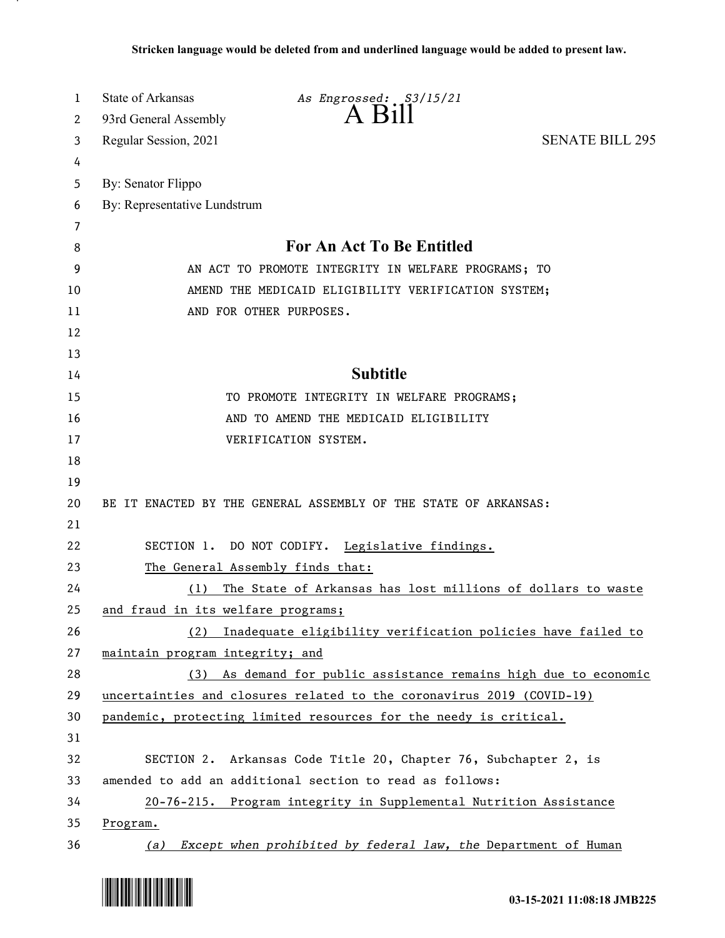| 1  | State of Arkansas                  | As Engrossed: S3/15/21                                                |                        |
|----|------------------------------------|-----------------------------------------------------------------------|------------------------|
| 2  | 93rd General Assembly              | $A$ $B1II$                                                            |                        |
| 3  | Regular Session, 2021              |                                                                       | <b>SENATE BILL 295</b> |
| 4  |                                    |                                                                       |                        |
| 5  | By: Senator Flippo                 |                                                                       |                        |
| 6  | By: Representative Lundstrum       |                                                                       |                        |
| 7  |                                    |                                                                       |                        |
| 8  |                                    | <b>For An Act To Be Entitled</b>                                      |                        |
| 9  |                                    | AN ACT TO PROMOTE INTEGRITY IN WELFARE PROGRAMS; TO                   |                        |
| 10 |                                    | AMEND THE MEDICAID ELIGIBILITY VERIFICATION SYSTEM;                   |                        |
| 11 |                                    | AND FOR OTHER PURPOSES.                                               |                        |
| 12 |                                    |                                                                       |                        |
| 13 |                                    |                                                                       |                        |
| 14 |                                    | <b>Subtitle</b>                                                       |                        |
| 15 |                                    | TO PROMOTE INTEGRITY IN WELFARE PROGRAMS;                             |                        |
| 16 |                                    | AND TO AMEND THE MEDICAID ELIGIBILITY                                 |                        |
| 17 |                                    | VERIFICATION SYSTEM.                                                  |                        |
| 18 |                                    |                                                                       |                        |
| 19 |                                    |                                                                       |                        |
| 20 |                                    | BE IT ENACTED BY THE GENERAL ASSEMBLY OF THE STATE OF ARKANSAS:       |                        |
| 21 |                                    |                                                                       |                        |
| 22 |                                    | SECTION 1. DO NOT CODIFY. Legislative findings.                       |                        |
| 23 |                                    | The General Assembly finds that:                                      |                        |
| 24 | (1)                                | The State of Arkansas has lost millions of dollars to waste           |                        |
| 25 | and fraud in its welfare programs; |                                                                       |                        |
| 26 |                                    | (2) Inadequate eligibility verification policies have failed to       |                        |
| 27 | maintain program integrity; and    |                                                                       |                        |
| 28 |                                    | (3) As demand for public assistance remains high due to economic      |                        |
| 29 |                                    | uncertainties and closures related to the coronavirus 2019 (COVID-19) |                        |
| 30 |                                    | pandemic, protecting limited resources for the needy is critical.     |                        |
| 31 |                                    |                                                                       |                        |
| 32 |                                    | SECTION 2. Arkansas Code Title 20, Chapter 76, Subchapter 2, is       |                        |
| 33 |                                    | amended to add an additional section to read as follows:              |                        |
| 34 |                                    | 20-76-215. Program integrity in Supplemental Nutrition Assistance     |                        |
| 35 | Program.                           |                                                                       |                        |
| 36 |                                    | (a) Except when prohibited by federal law, the Department of Human    |                        |

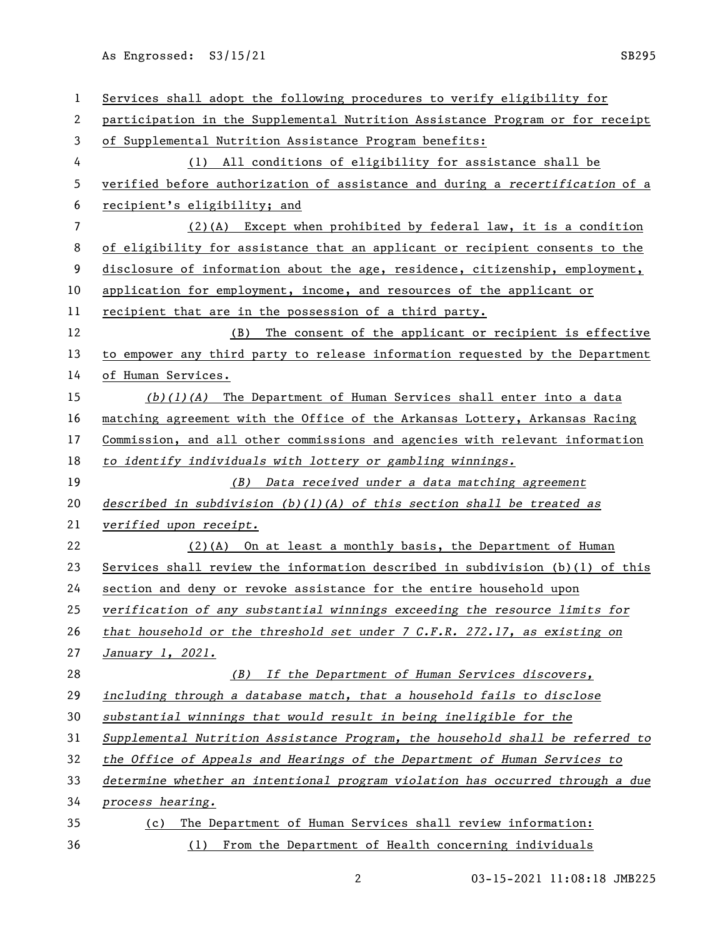| 1              | Services shall adopt the following procedures to verify eligibility for         |
|----------------|---------------------------------------------------------------------------------|
| 2              | participation in the Supplemental Nutrition Assistance Program or for receipt   |
| 3              | of Supplemental Nutrition Assistance Program benefits:                          |
| 4              | (1) All conditions of eligibility for assistance shall be                       |
| 5              | verified before authorization of assistance and during a recertification of a   |
| 6              | recipient's eligibility; and                                                    |
| $\overline{7}$ | $(2)(A)$ Except when prohibited by federal law, it is a condition               |
| 8              | of eligibility for assistance that an applicant or recipient consents to the    |
| 9              | disclosure of information about the age, residence, citizenship, employment,    |
| 10             | application for employment, income, and resources of the applicant or           |
| 11             | recipient that are in the possession of a third party.                          |
| 12             | (B) The consent of the applicant or recipient is effective                      |
| 13             | to empower any third party to release information requested by the Department   |
| 14             | of Human Services.                                                              |
| 15             | $(b)(1)(A)$ The Department of Human Services shall enter into a data            |
| 16             | matching agreement with the Office of the Arkansas Lottery, Arkansas Racing     |
| 17             | Commission, and all other commissions and agencies with relevant information    |
| 18             | to identify individuals with lottery or gambling winnings.                      |
|                |                                                                                 |
| 19             | (B) Data received under a data matching agreement                               |
| 20             | described in subdivision $(b)(1)(A)$ of this section shall be treated as        |
| 21             | verified upon receipt.                                                          |
| 22             | $(2)$ (A) On at least a monthly basis, the Department of Human                  |
| 23             | Services shall review the information described in subdivision $(b)(1)$ of this |
| 24             | section and deny or revoke assistance for the entire household upon             |
| 25             | verification of any substantial winnings exceeding the resource limits for      |
| 26             | that household or the threshold set under $7$ C.F.R. 272.17, as existing on     |
| 27             | January 1, 2021.                                                                |
| 28             | (B) If the Department of Human Services discovers,                              |
| 29             | including through a database match, that a household fails to disclose          |
| 30             | substantial winnings that would result in being ineligible for the              |
| 31             | Supplemental Nutrition Assistance Program, the household shall be referred to   |
| 32             | the Office of Appeals and Hearings of the Department of Human Services to       |
| 33             | determine whether an intentional program violation has occurred through a due   |
| 34             | process hearing.                                                                |
| 35             | The Department of Human Services shall review information:<br>(c)               |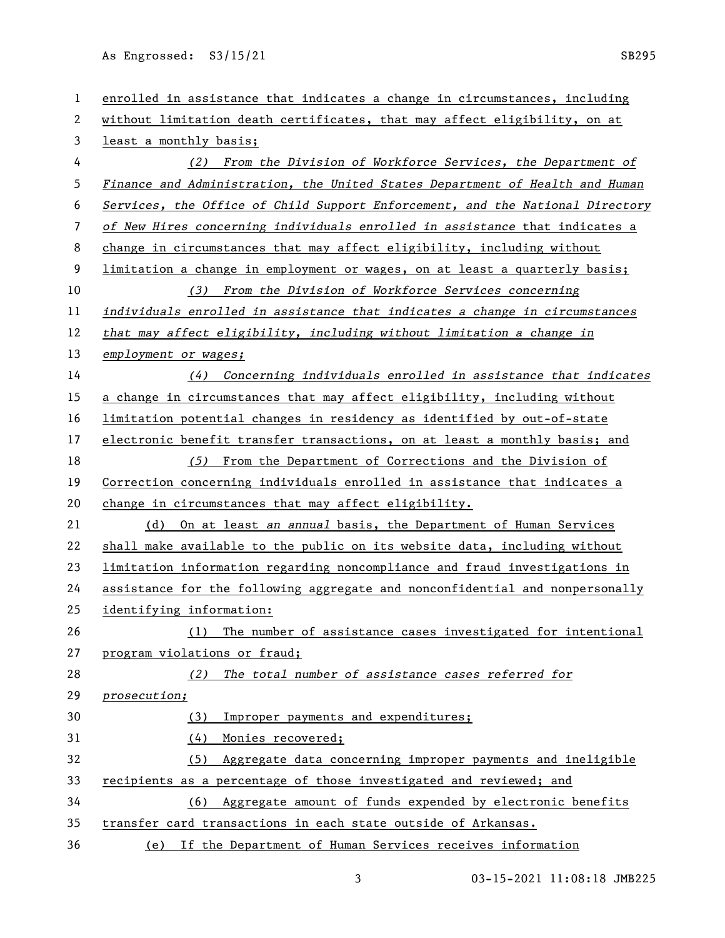| $\mathbf{1}$ | enrolled in assistance that indicates a change in circumstances, including    |
|--------------|-------------------------------------------------------------------------------|
| 2            | without limitation death certificates, that may affect eligibility, on at     |
| 3            | least a monthly basis;                                                        |
| 4            | (2) From the Division of Workforce Services, the Department of                |
| 5            | Finance and Administration, the United States Department of Health and Human  |
| 6            | Services, the Office of Child Support Enforcement, and the National Directory |
| 7            | of New Hires concerning individuals enrolled in assistance that indicates a   |
| 8            | change in circumstances that may affect eligibility, including without        |
| 9            | limitation a change in employment or wages, on at least a quarterly basis;    |
| 10           | (3) From the Division of Workforce Services concerning                        |
| 11           | individuals enrolled in assistance that indicates a change in circumstances   |
| 12           | that may affect eligibility, including without limitation a change in         |
| 13           | employment or wages;                                                          |
| 14           | (4) Concerning individuals enrolled in assistance that indicates              |
| 15           | a change in circumstances that may affect eligibility, including without      |
| 16           | limitation potential changes in residency as identified by out-of-state       |
| 17           | electronic benefit transfer transactions, on at least a monthly basis; and    |
| 18           | (5) From the Department of Corrections and the Division of                    |
| 19           | Correction concerning individuals enrolled in assistance that indicates a     |
| 20           | change in circumstances that may affect eligibility.                          |
| 21           | (d) On at least an annual basis, the Department of Human Services             |
| 22           | shall make available to the public on its website data, including without     |
| 23           | limitation information regarding noncompliance and fraud investigations in    |
| 24           | assistance for the following aggregate and nonconfidential and nonpersonally  |
| 25           | identifying information:                                                      |
| 26           | The number of assistance cases investigated for intentional<br>(1)            |
| 27           | program violations or fraud;                                                  |
| 28           | The total number of assistance cases referred for<br>(2)                      |
| 29           | prosecution;                                                                  |
| 30           | Improper payments and expenditures;<br>(3)                                    |
| 31           | Monies recovered;<br>(4)                                                      |
| 32           | Aggregate data concerning improper payments and ineligible<br>(5)             |
| 33           | recipients as a percentage of those investigated and reviewed; and            |
| 34           | Aggregate amount of funds expended by electronic benefits<br>(6)              |
| 35           | transfer card transactions in each state outside of Arkansas.                 |
| 36           | If the Department of Human Services receives information<br>(e)               |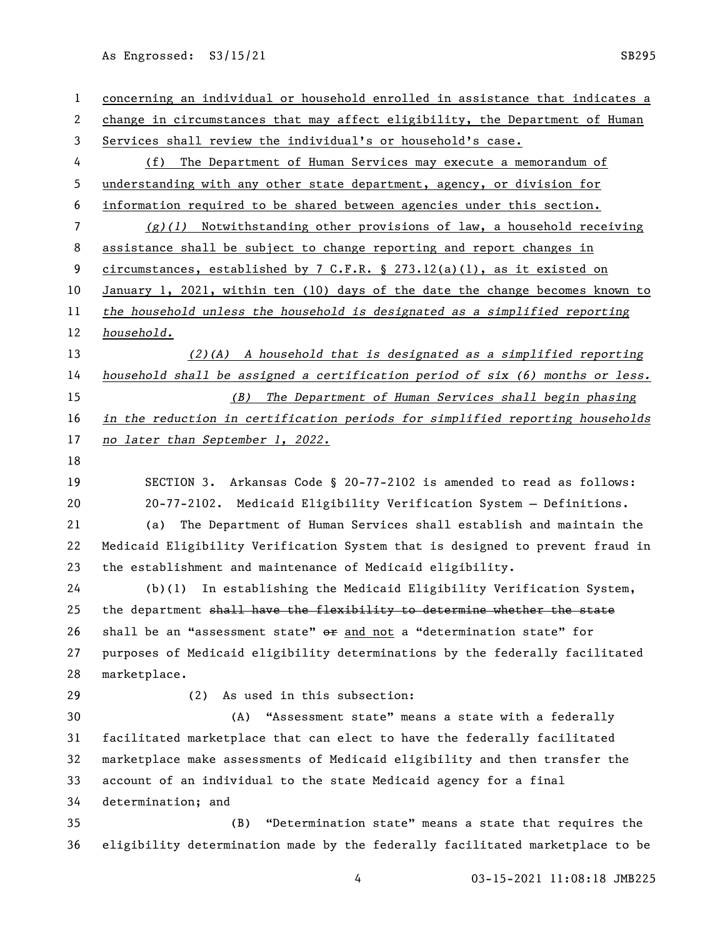| 1              | concerning an individual or household enrolled in assistance that indicates a |
|----------------|-------------------------------------------------------------------------------|
| 2              | change in circumstances that may affect eligibility, the Department of Human  |
| 3              | Services shall review the individual's or household's case.                   |
| 4              | The Department of Human Services may execute a memorandum of<br>(f)           |
| 5              | understanding with any other state department, agency, or division for        |
| 6              | information required to be shared between agencies under this section.        |
| $\overline{7}$ | $(g)(1)$ Notwithstanding other provisions of law, a household receiving       |
| 8              | assistance shall be subject to change reporting and report changes in         |
| 9              | circumstances, established by 7 C.F.R. § 273.12(a)(1), as it existed on       |
| 10             | January 1, 2021, within ten (10) days of the date the change becomes known to |
| 11             | the household unless the household is designated as a simplified reporting    |
| 12             | household.                                                                    |
| 13             | $(2)$ (A) A household that is designated as a simplified reporting            |
| 14             | household shall be assigned a certification period of six (6) months or less. |
| 15             | (B) The Department of Human Services shall begin phasing                      |
| 16             | in the reduction in certification periods for simplified reporting households |
| 17             | no later than September 1, 2022.                                              |
| 18             |                                                                               |
| 19             | SECTION 3. Arkansas Code § 20-77-2102 is amended to read as follows:          |
| 20             | 20-77-2102. Medicaid Eligibility Verification System - Definitions.           |
| 21             | The Department of Human Services shall establish and maintain the<br>(a)      |
| 22             | Medicaid Eligibility Verification System that is designed to prevent fraud in |
| 23             | the establishment and maintenance of Medicaid eligibility.                    |
| 24             | In establishing the Medicaid Eligibility Verification System,<br>(b)(1)       |
| 25             | the department shall have the flexibility to determine whether the state      |
| 26             | shall be an "assessment state" or and not a "determination state" for         |
| 27             | purposes of Medicaid eligibility determinations by the federally facilitated  |
| 28             | marketplace.                                                                  |
| 29             | (2)<br>As used in this subsection:                                            |
| 30             | "Assessment state" means a state with a federally<br>(A)                      |
| 31             | facilitated marketplace that can elect to have the federally facilitated      |
| 32             | marketplace make assessments of Medicaid eligibility and then transfer the    |
| 33             | account of an individual to the state Medicaid agency for a final             |
| 34             | determination; and                                                            |
| 35             | "Determination state" means a state that requires the<br>(B)                  |
| 36             | eligibility determination made by the federally facilitated marketplace to be |
|                |                                                                               |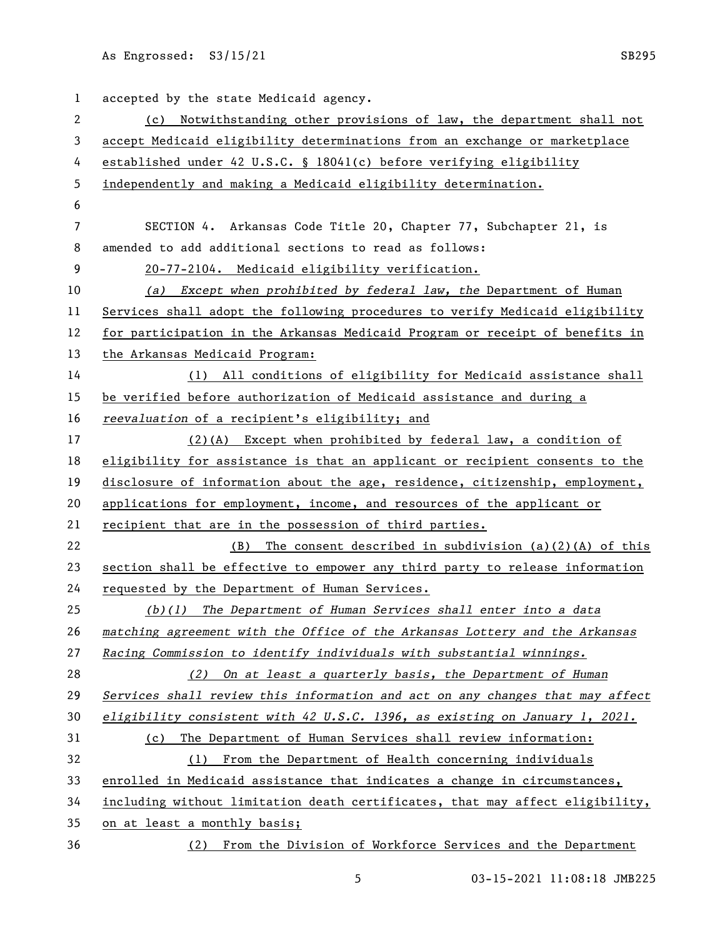| $\mathbf{1}$   | accepted by the state Medicaid agency.                                        |
|----------------|-------------------------------------------------------------------------------|
| 2              | (c) Notwithstanding other provisions of law, the department shall not         |
| 3              | accept Medicaid eligibility determinations from an exchange or marketplace    |
| 4              | established under 42 U.S.C. § 18041(c) before verifying eligibility           |
| 5              | independently and making a Medicaid eligibility determination.                |
| 6              |                                                                               |
| $\overline{7}$ | SECTION 4. Arkansas Code Title 20, Chapter 77, Subchapter 21, is              |
| 8              | amended to add additional sections to read as follows:                        |
| 9              | 20-77-2104. Medicaid eligibility verification.                                |
| 10             | (a) Except when prohibited by federal law, the Department of Human            |
| 11             | Services shall adopt the following procedures to verify Medicaid eligibility  |
| 12             | for participation in the Arkansas Medicaid Program or receipt of benefits in  |
| 13             | the Arkansas Medicaid Program:                                                |
| 14             | (1) All conditions of eligibility for Medicaid assistance shall               |
| 15             | be verified before authorization of Medicaid assistance and during a          |
| 16             | reevaluation of a recipient's eligibility; and                                |
| 17             | $(2)$ (A) Except when prohibited by federal law, a condition of               |
| 18             | eligibility for assistance is that an applicant or recipient consents to the  |
| 19             | disclosure of information about the age, residence, citizenship, employment,  |
| 20             | applications for employment, income, and resources of the applicant or        |
| 21             | recipient that are in the possession of third parties.                        |
| 22             | The consent described in subdivision $(a)(2)(A)$ of this<br>(B)               |
| 23             | section shall be effective to empower any third party to release information  |
| 24             | requested by the Department of Human Services.                                |
| 25             | (b)(1) The Department of Human Services shall enter into a data               |
| 26             | matching agreement with the Office of the Arkansas Lottery and the Arkansas   |
| 27             | Racing Commission to identify individuals with substantial winnings.          |
| 28             | (2) On at least a quarterly basis, the Department of Human                    |
| 29             | Services shall review this information and act on any changes that may affect |
| 30             | eligibility consistent with 42 U.S.C. 1396, as existing on January 1, 2021.   |
| 31             | The Department of Human Services shall review information:<br>(c)             |
| 32             | (1) From the Department of Health concerning individuals                      |
| 33             | enrolled in Medicaid assistance that indicates a change in circumstances,     |
| 34             | including without limitation death certificates, that may affect eligibility, |
| 35             | on at least a monthly basis;                                                  |
| 36             | (2) From the Division of Workforce Services and the Department                |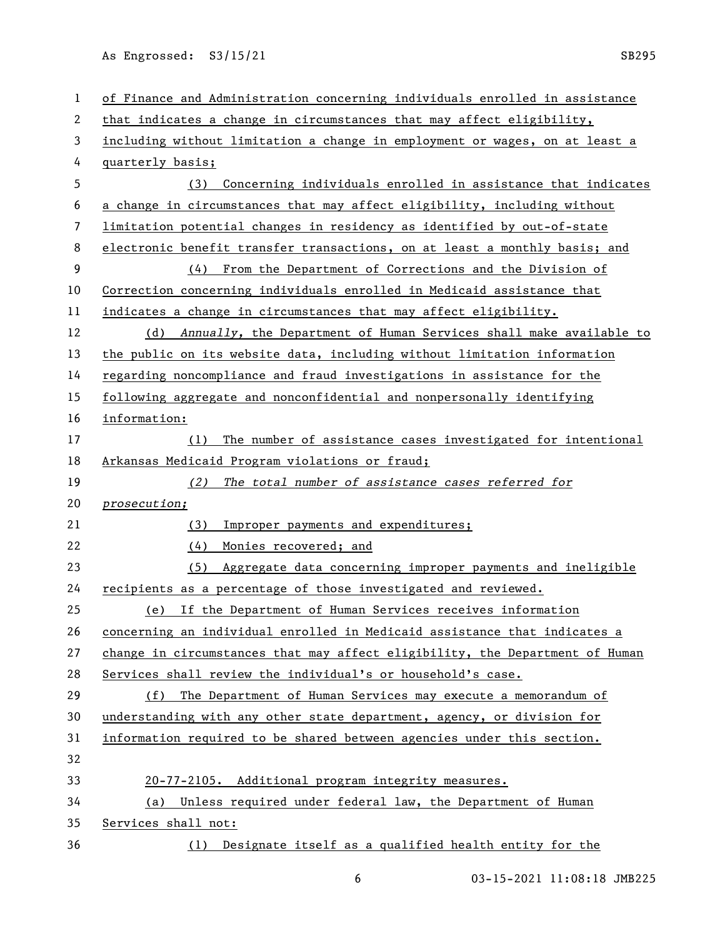| $\mathbf 1$ | of Finance and Administration concerning individuals enrolled in assistance  |
|-------------|------------------------------------------------------------------------------|
| 2           | that indicates a change in circumstances that may affect eligibility,        |
| 3           | including without limitation a change in employment or wages, on at least a  |
| 4           | quarterly basis;                                                             |
| 5           | Concerning individuals enrolled in assistance that indicates<br>(3)          |
| 6           | a change in circumstances that may affect eligibility, including without     |
| 7           | limitation potential changes in residency as identified by out-of-state      |
| 8           | electronic benefit transfer transactions, on at least a monthly basis; and   |
| 9           | From the Department of Corrections and the Division of<br>(4)                |
| 10          | Correction concerning individuals enrolled in Medicaid assistance that       |
| 11          | indicates a change in circumstances that may affect eligibility.             |
| 12          | (d) Annually, the Department of Human Services shall make available to       |
| 13          | the public on its website data, including without limitation information     |
| 14          | regarding noncompliance and fraud investigations in assistance for the       |
| 15          | following aggregate and nonconfidential and nonpersonally identifying        |
| 16          | information:                                                                 |
| 17          | The number of assistance cases investigated for intentional<br>(1)           |
| 18          | Arkansas Medicaid Program violations or fraud;                               |
| 19          | The total number of assistance cases referred for<br>(2)                     |
| 20          | prosecution;                                                                 |
| 21          | Improper payments and expenditures;<br>(3)                                   |
| 22          | (4)<br>Monies recovered; and                                                 |
| 23          | (5)<br>Aggregate data concerning improper payments and ineligible            |
| 24          | recipients as a percentage of those investigated and reviewed.               |
| 25          | If the Department of Human Services receives information<br>(e)              |
| 26          | concerning an individual enrolled in Medicaid assistance that indicates a    |
| 27          | change in circumstances that may affect eligibility, the Department of Human |
| 28          | Services shall review the individual's or household's case.                  |
| 29          | (f) The Department of Human Services may execute a memorandum of             |
| 30          | understanding with any other state department, agency, or division for       |
| 31          | information required to be shared between agencies under this section.       |
| 32          |                                                                              |
| 33          | 20-77-2105. Additional program integrity measures.                           |
| 34          | Unless required under federal law, the Department of Human<br>(a)            |
| 35          |                                                                              |
|             | Services shall not:                                                          |